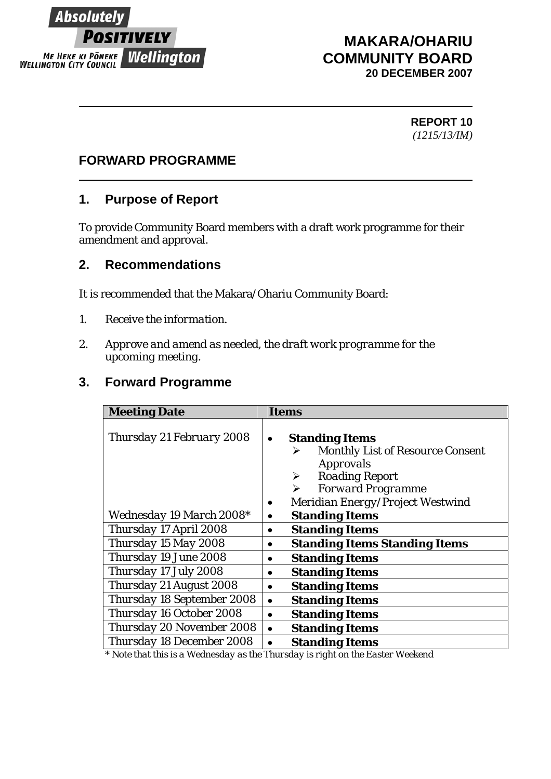

# **MAKARA/OHARIU COMMUNITY BOARD 20 DECEMBER 2007**

#### **REPORT 10** *(1215/13/IM)*

### **FORWARD PROGRAMME**

### **1. Purpose of Report**

To provide Community Board members with a draft work programme for their amendment and approval.

### **2. Recommendations**

It is recommended that the Makara/Ohariu Community Board:

- *1. Receive the information.*
- *2. Approve and amend as needed, the draft work programme for the upcoming meeting.*

## **3. Forward Programme**

| <b>Meeting Date</b>             | Items                                                                      |
|---------------------------------|----------------------------------------------------------------------------|
| Thursday 21 February 2008       | <b>Standing Items</b><br><b>Monthly List of Resource Consent</b><br>⋗      |
|                                 | <b>Approvals</b><br><b>Roading Report</b><br>≻<br><b>Forward Programme</b> |
|                                 | Meridian Energy/Project Westwind                                           |
| <i>Wednesday 19 March 2008*</i> | <b>Standing Items</b>                                                      |
| Thursday 17 April 2008          | <b>Standing Items</b>                                                      |
| Thursday 15 May 2008            | <b>Standing Items Standing Items</b><br>$\bullet$                          |
| Thursday 19 June 2008           | <b>Standing Items</b>                                                      |
| Thursday 17 July 2008           | <b>Standing Items</b>                                                      |
| Thursday 21 August 2008         | <b>Standing Items</b><br>٠                                                 |
| Thursday 18 September 2008      | <b>Standing Items</b>                                                      |
| Thursday 16 October 2008        | <b>Standing Items</b><br>$\bullet$                                         |
| Thursday 20 November 2008       | <b>Standing Items</b>                                                      |
| Thursday 18 December 2008       | <b>Standing Items</b><br>$\mathbf{r}$<br>$\overline{m}$<br><b>TT7</b> 7    |

*\* Note that this is a Wednesday as the Thursday is right on the Easter Weekend*